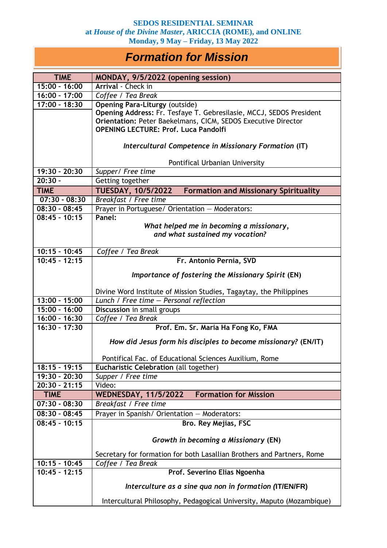## *Formation for Mission*

| <b>TIME</b>          | MONDAY, 9/5/2022 (opening session)                                        |
|----------------------|---------------------------------------------------------------------------|
| $15:00 - 16:00$      | Arrival - Check in                                                        |
| 16:00 - 17:00        | Coffee / Tea Break                                                        |
| $17:00 - 18:30$      | <b>Opening Para-Liturgy (outside)</b>                                     |
|                      | Opening Address: Fr. Tesfaye T. Gebresilasie, MCCJ, SEDOS President       |
|                      | Orientation: Peter Baekelmans, CICM, SEDOS Executive Director             |
|                      | <b>OPENING LECTURE: Prof. Luca Pandolfi</b>                               |
|                      | Intercultural Competence in Missionary Formation (IT)                     |
|                      |                                                                           |
|                      | Pontifical Urbanian University                                            |
| 19:30 - 20:30        | Supper/ Free time                                                         |
| $\overline{20:}30 -$ | Getting together                                                          |
| <b>TIME</b>          | <b>TUESDAY, 10/5/2022</b><br><b>Formation and Missionary Spirituality</b> |
| $07:30 - 08:30$      | Breakfast / Free time                                                     |
| $08:30 - 08:45$      | Prayer in Portuguese/ Orientation - Moderators:                           |
| $08:45 - 10:15$      | Panel:                                                                    |
|                      | What helped me in becoming a missionary,                                  |
|                      | and what sustained my vocation?                                           |
| $10:15 - 10:45$      | Coffee / Tea Break                                                        |
| $10:45 - 12:15$      | Fr. Antonio Pernia, SVD                                                   |
|                      |                                                                           |
|                      | Importance of fostering the Missionary Spirit (EN)                        |
|                      | Divine Word Institute of Mission Studies, Tagaytay, the Philippines       |
| $13:00 - 15:00$      | Lunch / Free time - Personal reflection                                   |
| $15:00 - 16:00$      | Discussion in small groups                                                |
| $16:00 - 16:30$      | Coffee / Tea Break                                                        |
| $16:30 - 17:30$      | Prof. Em. Sr. Maria Ha Fong Ko, FMA                                       |
|                      | How did Jesus form his disciples to become missionary? (EN/IT)            |
|                      | Pontifical Fac. of Educational Sciences Auxilium, Rome                    |
| $18:15 - 19:15$      | Eucharistic Celebration (all together)                                    |
| 19:30 - 20:30        | Supper / Free time                                                        |
| $20:30 - 21:15$      | Video:                                                                    |
| <b>TIME</b>          | <b>Formation for Mission</b><br><b>WEDNESDAY, 11/5/2022</b>               |
| $07:30 - 08:30$      | Breakfast / Free time                                                     |
| $08:30 - 08:45$      | Prayer in Spanish/ Orientation - Moderators:                              |
| $08:45 - 10:15$      | Bro. Rey Mejias, FSC                                                      |
|                      | Growth in becoming a Missionary (EN)                                      |
|                      |                                                                           |
|                      | Secretary for formation for both Lasallian Brothers and Partners, Rome    |
| $10:15 - 10:45$      | Coffee / Tea Break                                                        |
| $10:45 - 12:15$      | Prof. Severino Elias Ngoenha                                              |
|                      | Interculture as a sine qua non in formation (IT/EN/FR)                    |
|                      | Intercultural Philosophy, Pedagogical University, Maputo (Mozambique)     |